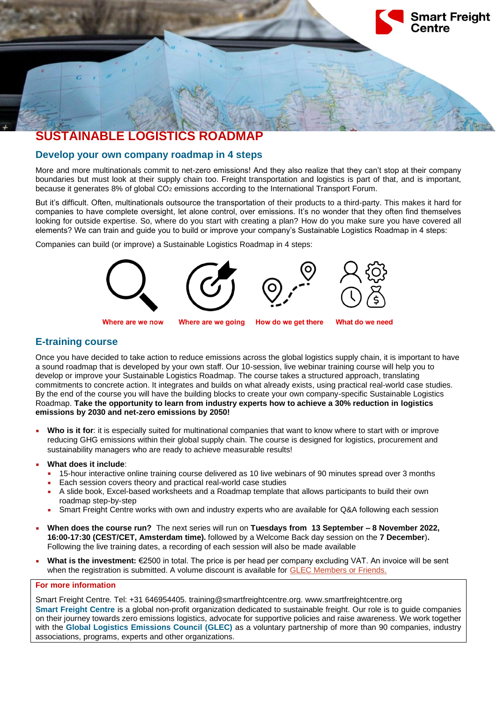

### **Develop your own company roadmap in 4 steps**

More and more multinationals commit to net-zero emissions! And they also realize that they can't stop at their company boundaries but must look at their supply chain too. Freight transportation and logistics is part of that, and is important, because it generates 8% of global CO<sub>2</sub> emissions according to the International Transport Forum.

But it's difficult. Often, multinationals outsource the transportation of their products to a third-party. This makes it hard for companies to have complete oversight, let alone control, over emissions. It's no wonder that they often find themselves looking for outside expertise. So, where do you start with creating a plan? How do you make sure you have covered all elements? We can train and guide you to build or improve your company's Sustainable Logistics Roadmap in 4 steps:

Companies can build (or improve) a Sustainable Logistics Roadmap in 4 steps:



## **E-training course**

Once you have decided to take action to reduce emissions across the global logistics supply chain, it is important to have a sound roadmap that is developed by your own staff. Our 10-session, live webinar training course will help you to develop or improve your Sustainable Logistics Roadmap. The course takes a structured approach, translating commitments to concrete action. It integrates and builds on what already exists, using practical real-world case studies. By the end of the course you will have the building blocks to create your own company-specific Sustainable Logistics Roadmap. **Take the opportunity to learn from industry experts how to achieve a 30% reduction in logistics emissions by 2030 and net-zero emissions by 2050!**

Who is it for: it is especially suited for multinational companies that want to know where to start with or improve reducing GHG emissions within their global supply chain. The course is designed for logistics, procurement and sustainability managers who are ready to achieve measurable results!

**What does it include:** 

- 15-hour interactive online training course delivered as 10 live webinars of 90 minutes spread over 3 months
- Each session covers theory and practical real-world case studies
- A slide book, Excel-based worksheets and a Roadmap template that allows participants to build their own roadmap step-by-step
- Smart Freight Centre works with own and industry experts who are available for Q&A following each session
- **When does the course run?** The next series will run on **Tuesdays from 13 September – 8 November 2022, 16:00-17:30 (CEST/CET, Amsterdam time).** followed by a Welcome Back day session on the **7 December**)**.** Following the live training dates, a recording of each session will also be made available
- **What is the investment:** €2500 in total. The price is per head per company excluding VAT. An invoice will be sent when the registration is submitted. A volume discount is available for [GLEC Members or Friends.](https://www.smartfreightcentre.org/en/join-glec-partners/)

### **For more information**

Smart Freight Centre. Tel: +31 646954405. training@smartfreightcentre.org. www.smartfreightcentre.org **Smart Freight Centre** is a global non-profit organization dedicated to sustainable freight. Our role is to guide companies on their journey towards zero emissions logistics, advocate for supportive policies and raise awareness. We work together with the **Global Logistics Emissions Council (GLEC)** as a voluntary partnership of more than 90 companies, industry associations, programs, experts and other organizations.